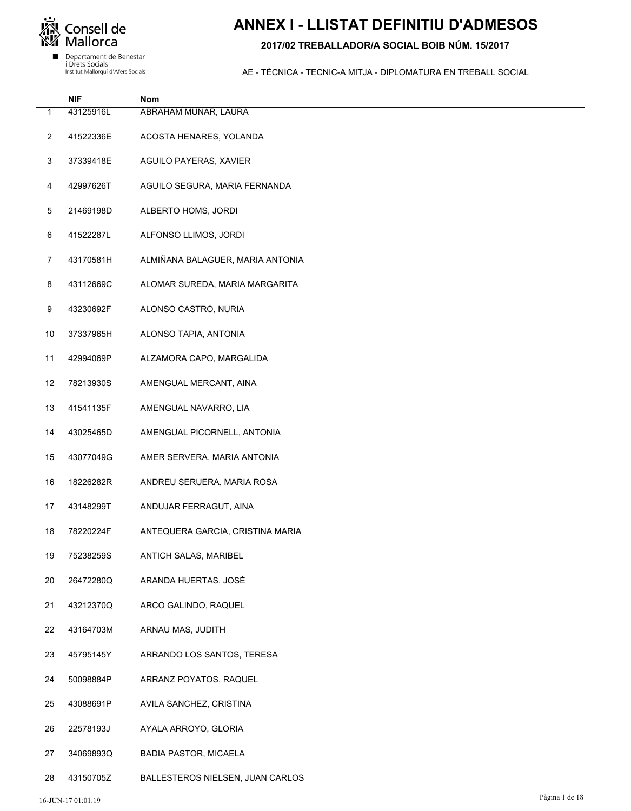

### **ANNEX I - LLISTAT DEFINITIU D'ADMESOS**

#### 2017/02 TREBALLADOR/A SOCIAL BOIB NÚM. 15/2017

|    | <b>NIF</b> | Nom                              |
|----|------------|----------------------------------|
| 1  | 43125916L  | ABRAHAM MUNAR, LAURA             |
| 2  | 41522336E  | ACOSTA HENARES, YOLANDA          |
| 3  | 37339418E  | AGUILO PAYERAS, XAVIER           |
| 4  | 42997626T  | AGUILO SEGURA, MARIA FERNANDA    |
| 5  | 21469198D  | ALBERTO HOMS, JORDI              |
| 6  | 41522287L  | ALFONSO LLIMOS, JORDI            |
| 7  | 43170581H  | ALMIÑANA BALAGUER, MARIA ANTONIA |
| 8  | 43112669C  | ALOMAR SUREDA, MARIA MARGARITA   |
| 9  | 43230692F  | ALONSO CASTRO, NURIA             |
| 10 | 37337965H  | ALONSO TAPIA, ANTONIA            |
| 11 | 42994069P  | ALZAMORA CAPO, MARGALIDA         |
| 12 | 78213930S  | AMENGUAL MERCANT, AINA           |
| 13 | 41541135F  | AMENGUAL NAVARRO, LIA            |
| 14 | 43025465D  | AMENGUAL PICORNELL, ANTONIA      |
| 15 | 43077049G  | AMER SERVERA, MARIA ANTONIA      |
| 16 | 18226282R  | ANDREU SERUERA, MARIA ROSA       |
| 17 | 43148299T  | ANDUJAR FERRAGUT, AINA           |
| 18 | 78220224F  | ANTEQUERA GARCIA, CRISTINA MARIA |
| 19 | 75238259S  | ANTICH SALAS, MARIBEL            |
| 20 | 26472280Q  | ARANDA HUERTAS, JOSÉ             |
| 21 | 43212370Q  | ARCO GALINDO, RAQUEL             |
| 22 | 43164703M  | ARNAU MAS, JUDITH                |
| 23 | 45795145Y  | ARRANDO LOS SANTOS, TERESA       |
| 24 | 50098884P  | ARRANZ POYATOS, RAQUEL           |
| 25 | 43088691P  | AVILA SANCHEZ, CRISTINA          |
| 26 | 22578193J  | AYALA ARROYO, GLORIA             |
| 27 | 34069893Q  | <b>BADIA PASTOR, MICAELA</b>     |
| 28 | 43150705Z  | BALLESTEROS NIELSEN, JUAN CARLOS |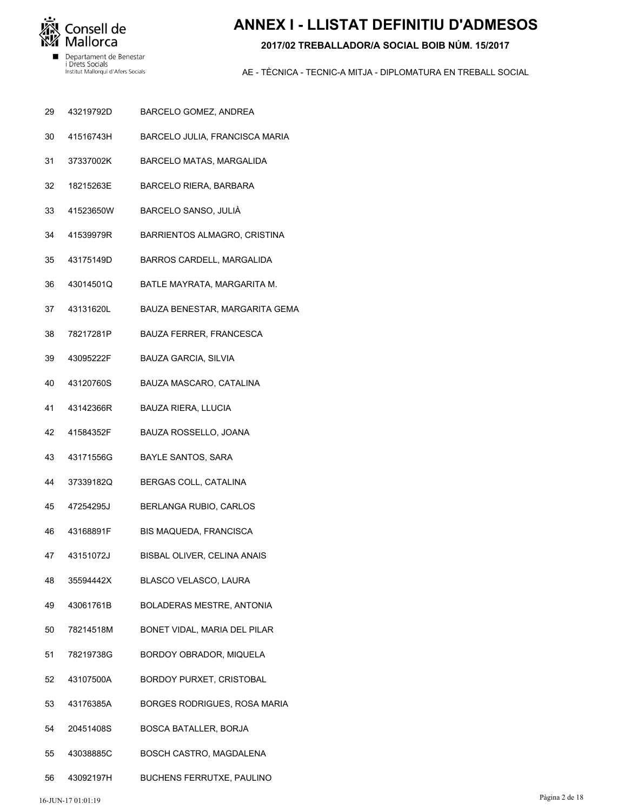

# **ANNEX I - LLISTAT DEFINITIU D'ADMESOS**

#### 2017/02 TREBALLADOR/A SOCIAL BOIB NÚM, 15/2017

- 29 43219792D BARCELO GOMEZ, ANDREA
- 41516743H BARCELO JULIA, FRANCISCA MARIA 30
- 31 37337002K BARCELO MATAS, MARGALIDA
- 32 18215263E **BARCELO RIERA, BARBARA**
- 33 41523650W BARCELO SANSO, JULIÀ
- 41539979R 34 BARRIENTOS ALMAGRO, CRISTINA
- 35 43175149D BARROS CARDELL, MARGALIDA
- 43014501Q BATLE MAYRATA, MARGARITA M. 36
- 43131620L 37 BAUZA BENESTAR, MARGARITA GEMA
- 78217281P **BAUZA FERRER, FRANCESCA** 38
- 43095222F 39 BAUZA GARCIA, SILVIA
- 40 43120760S BAUZA MASCARO, CATALINA
- 41 43142366R **BAUZA RIERA, LLUCIA**
- 42 41584352F BAUZA ROSSELLO, JOANA
- 43 43171556G **BAYLE SANTOS, SARA**
- 44 37339182Q BERGAS COLL, CATALINA
- 47254295J BERLANGA RUBIO, CARLOS 45
- 46 43168891F BIS MAQUEDA, FRANCISCA
- 47 43151072J BISBAL OLIVER, CELINA ANAIS
- 48 35594442X BLASCO VELASCO, LAURA
- 49 43061761B BOLADERAS MESTRE, ANTONIA
- 50 78214518M BONET VIDAL, MARIA DEL PILAR
- BORDOY OBRADOR, MIQUELA 78219738G 51
- 52 43107500A BORDOY PURXET, CRISTOBAL
- 43176385A **BORGES RODRIGUES, ROSA MARIA** 53
- 20451408S 54 **BOSCA BATALLER, BORJA**
- 55 43038885C **BOSCH CASTRO, MAGDALENA**
- 56 43092197H BUCHENS FERRUTXE, PAULINO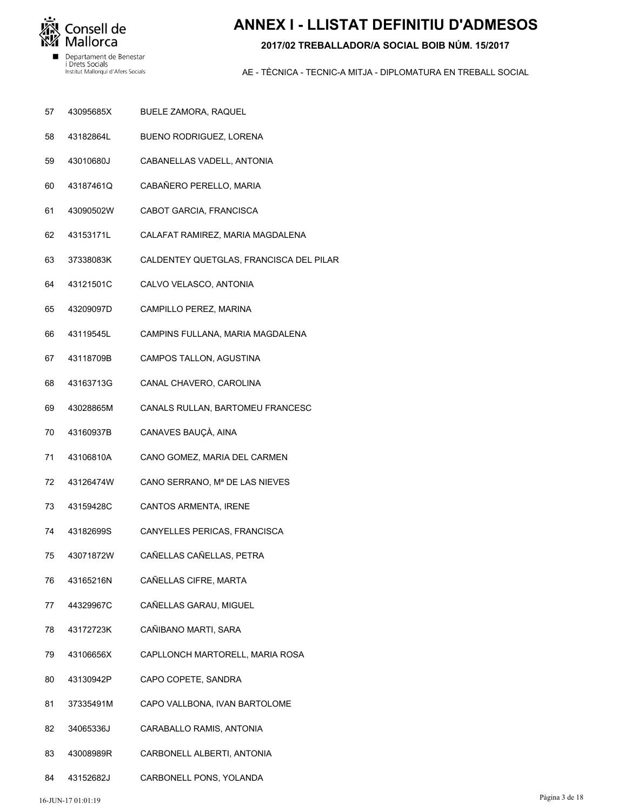

## **ANNEX I - LLISTAT DEFINITIU D'ADMESOS**

#### 2017/02 TREBALLADOR/A SOCIAL BOIB NÚM, 15/2017

- 57 43095685X BUELE ZAMORA, RAQUEL
- 43182864L BUENO RODRIGUEZ, LORENA 58
- 59 43010680J CABANELLAS VADELL, ANTONIA
- 60 43187461Q CABAÑERO PERELLO, MARIA
- 61 43090502W CABOT GARCIA, FRANCISCA
- 43153171L 62 CALAFAT RAMIREZ, MARIA MAGDALENA
- 63 37338083K CALDENTEY QUETGLAS, FRANCISCA DEL PILAR
- 43121501C CALVO VELASCO, ANTONIA 64
- 43209097D 65 CAMPILLO PEREZ, MARINA
- 43119545L CAMPINS FULLANA, MARIA MAGDALENA 66
- 43118709B 67 CAMPOS TALLON, AGUSTINA
- 68 43163713G CANAL CHAVERO, CAROLINA
- 69 43028865M CANALS RULLAN, BARTOMEU FRANCESC
- 70 43160937B CANAVES BAUÇÀ, AINA
- $71$ 43106810A CANO GOMEZ, MARIA DEL CARMEN
- 72 43126474W CANO SERRANO, Mª DE LAS NIEVES
- 43159428C 73 CANTOS ARMENTA, IRENE
- 74 43182699S CANYELLES PERICAS, FRANCISCA
- 75 43071872W CAÑELLAS CAÑELLAS, PETRA
- 76 43165216N CAÑELLAS CIFRE, MARTA
- 77 44329967C CAÑELLAS GARAU, MIGUEL
- 78 43172723K CAÑIBANO MARTI, SARA
- 43106656X 79 CAPLLONCH MARTORELL, MARIA ROSA
- 80 43130942P CAPO COPETE, SANDRA
- 37335491M CAPO VALLBONA, IVAN BARTOLOME  $81$
- 34065336J 82 CARABALLO RAMIS, ANTONIA
- 83 43008989R CARBONELL ALBERTI, ANTONIA
- 84 43152682J CARBONELL PONS, YOLANDA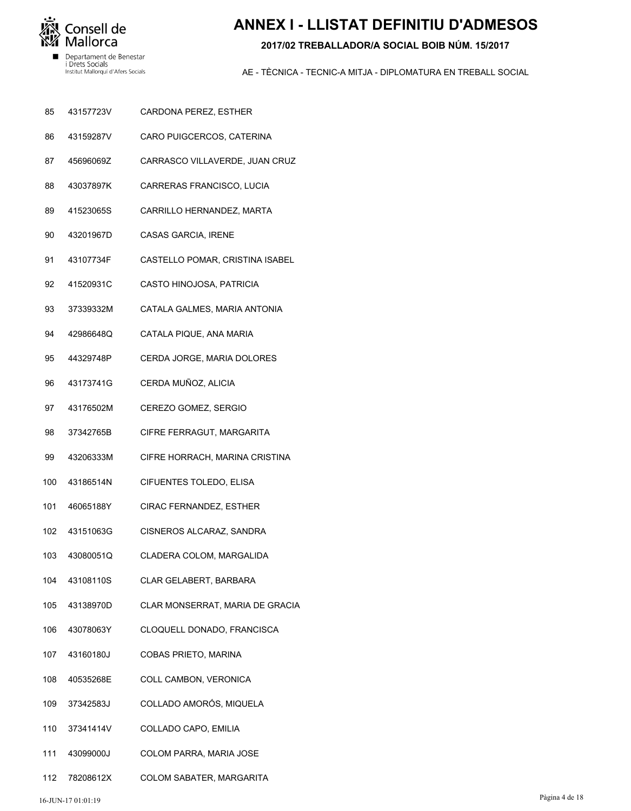

# **ANNEX I - LLISTAT DEFINITIU D'ADMESOS**

#### 2017/02 TREBALLADOR/A SOCIAL BOIB NÚM, 15/2017

- 85 43157723V CARDONA PEREZ, ESTHER
- 43159287V CARO PUIGCERCOS, CATERINA 86
- 87 45696069Z CARRASCO VILLAVERDE, JUAN CRUZ
- 88 43037897K CARRERAS FRANCISCO, LUCIA
- 89 41523065S CARRILLO HERNANDEZ, MARTA
- 43201967D 90 CASAS GARCIA, IRENE
- 91 43107734F CASTELLO POMAR, CRISTINA ISABEL
- 41520931C 92 CASTO HINOJOSA, PATRICIA
- 37339332M 93 CATALA GALMES, MARIA ANTONIA
- 42986648Q CATALA PIQUE, ANA MARIA 94
- 95 44329748P CERDA JORGE, MARIA DOLORES
- 96 43173741G CERDA MUÑOZ, ALICIA
- 97 43176502M CEREZO GOMEZ, SERGIO
- 98 37342765B CIFRE FERRAGUT, MARGARITA
- 99 43206333M CIFRE HORRACH, MARINA CRISTINA
- CIFUENTES TOLEDO, ELISA 43186514N  $100$
- 46065188Y CIRAC FERNANDEZ, ESTHER 101
- 43151063G 102 CISNEROS ALCARAZ, SANDRA
- 43080051Q 103 CLADERA COLOM, MARGALIDA
- 104 43108110S CLAR GELABERT, BARBARA
- 105 43138970D CLAR MONSERRAT, MARIA DE GRACIA
- 106 43078063Y CLOQUELL DONADO, FRANCISCA
- 43160180J 107 **COBAS PRIETO, MARINA**
- 40535268E COLL CAMBON, VERONICA 108
- 37342583J COLLADO AMORÓS, MIQUELA 109
- 37341414V  $110$ COLLADO CAPO, EMILIA
- 43099000J COLOM PARRA, MARIA JOSE 111
- 112 78208612X COLOM SABATER, MARGARITA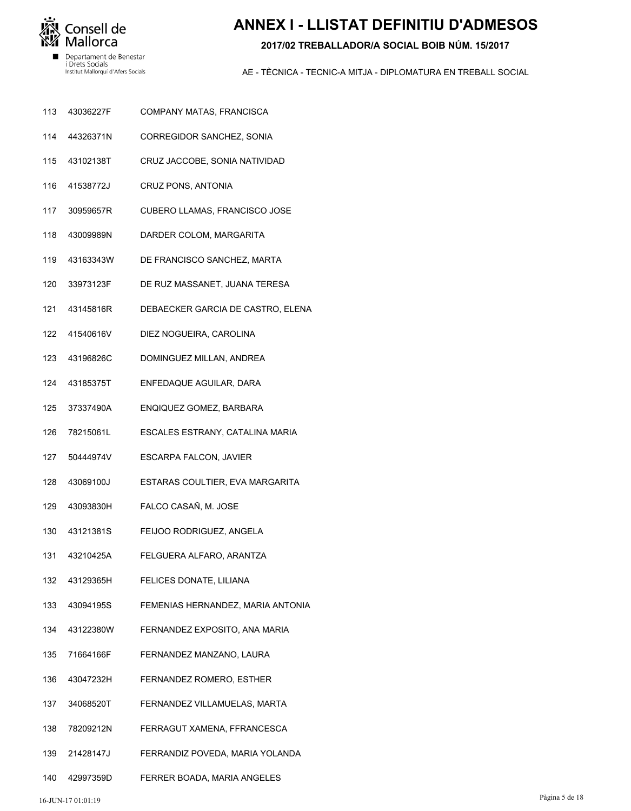

# **ANNEX I - LLISTAT DEFINITIU D'ADMESOS**

#### 2017/02 TREBALLADOR/A SOCIAL BOIB NÚM, 15/2017

- 113 43036227F COMPANY MATAS, FRANCISCA
- 44326371N 114 CORREGIDOR SANCHEZ, SONIA
- 115 43102138T CRUZ JACCOBE, SONIA NATIVIDAD
- 116 41538772J CRUZ PONS, ANTONIA
- 117 30959657R CUBERO LLAMAS, FRANCISCO JOSE
- 43009989N 118 DARDER COLOM, MARGARITA
- 119 43163343W DE FRANCISCO SANCHEZ, MARTA
- 33973123F  $120$ DE RUZ MASSANET, JUANA TERESA
- 43145816R  $121$ DEBAECKER GARCIA DE CASTRO, ELENA
- 41540616V DIEZ NOGUEIRA, CAROLINA 122
- 123 43196826C DOMINGUEZ MILLAN, ANDREA
- 124 43185375T ENFEDAQUE AGUILAR, DARA
- 125 37337490A ENQIQUEZ GOMEZ, BARBARA
- 126 78215061L ESCALES ESTRANY, CATALINA MARIA
- 127 50444974V **ESCARPA FALCON, JAVIER**
- 128 43069100J ESTARAS COULTIER, EVA MARGARITA
- 43093830H FALCO CASAÑ, M. JOSE 129
- 43121381S 130 FEIJOO RODRIGUEZ, ANGELA
- 43210425A 131 FELGUERA ALFARO, ARANTZA
- 132 43129365H FELICES DONATE, LILIANA
- 133 43094195S FEMENIAS HERNANDEZ, MARIA ANTONIA
- 134 43122380W FERNANDEZ EXPOSITO, ANA MARIA
- 71664166F 135 FERNANDEZ MANZANO, LAURA
- 43047232H FERNANDEZ ROMERO, ESTHER 136
- 34068520T FERNANDEZ VILLAMUELAS, MARTA 137
- 78209212N 138 FERRAGUT XAMENA, FFRANCESCA
- 21428147J FERRANDIZ POVEDA, MARIA YOLANDA 139
- 140 42997359D FERRER BOADA, MARIA ANGELES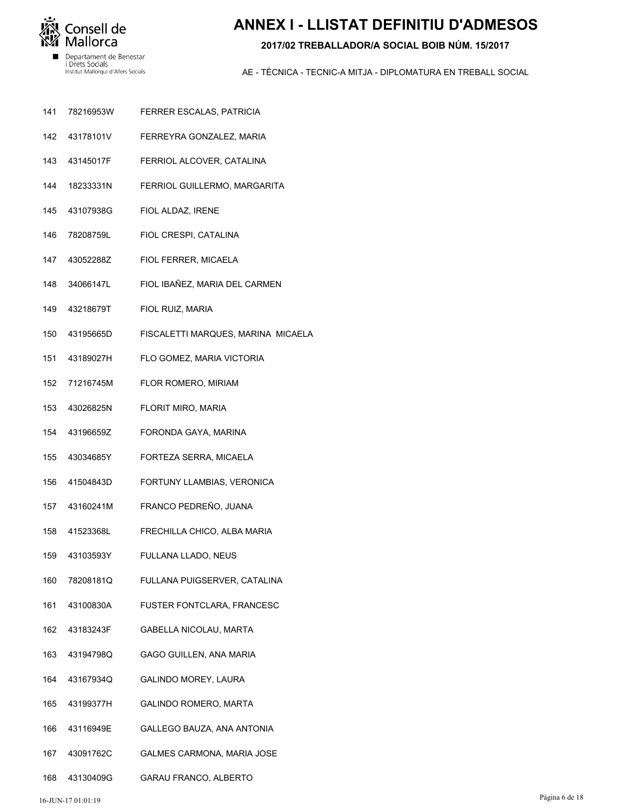

# **ANNEX I - LLISTAT DEFINITIU D'ADMESOS**

#### 2017/02 TREBALLADOR/A SOCIAL BOIB NÚM, 15/2017

- $141$ 78216953W FERRER ESCALAS, PATRICIA
- 142 43178101V FERREYRA GONZALEZ, MARIA
- 143 43145017F FERRIOL ALCOVER, CATALINA
- 144 18233331N FERRIOL GUILLERMO, MARGARITA
- 145 43107938G FIOL ALDAZ, IRENE
- 78208759L FIOL CRESPI, CATALINA 146
- 147 43052288Z FIOL FERRER, MICAELA
- 34066147L FIOL IBAÑEZ, MARIA DEL CARMEN 148
- 43218679T 149 FIOL RUIZ, MARIA
- 43195665D FISCALETTI MARQUES, MARINA MICAELA 150
- 151 43189027H FLO GOMEZ, MARIA VICTORIA
- 152 71216745M FLOR ROMERO, MIRIAM
- 153 43026825N FLORIT MIRO, MARIA
- 154 43196659Z FORONDA GAYA, MARINA
- 155 43034685Y FORTEZA SERRA, MICAELA
- 41504843D FORTUNY LLAMBIAS, VERONICA 156
- 43160241M FRANCO PEDREÑO, JUANA 157
- 158 415233681 FRECHILLA CHICO, ALBA MARIA
- 43103593Y 159 FULLANA LLADO, NEUS
- 160 78208181Q FULLANA PUIGSERVER, CATALINA
- 161 43100830A FUSTER FONTCLARA, FRANCESC
- 162 43183243F **GABELLA NICOLAU, MARTA**
- 43194798Q 163 **GAGO GUILLEN, ANA MARIA**
- 43167934Q GALINDO MOREY, LAURA 164
- 43199377H **GALINDO ROMERO, MARTA** 165
- 166 43116949E GALLEGO BAUZA, ANA ANTONIA
- 43091762C 167 GALMES CARMONA, MARIA JOSE
- 168 43130409G GARAU FRANCO, ALBERTO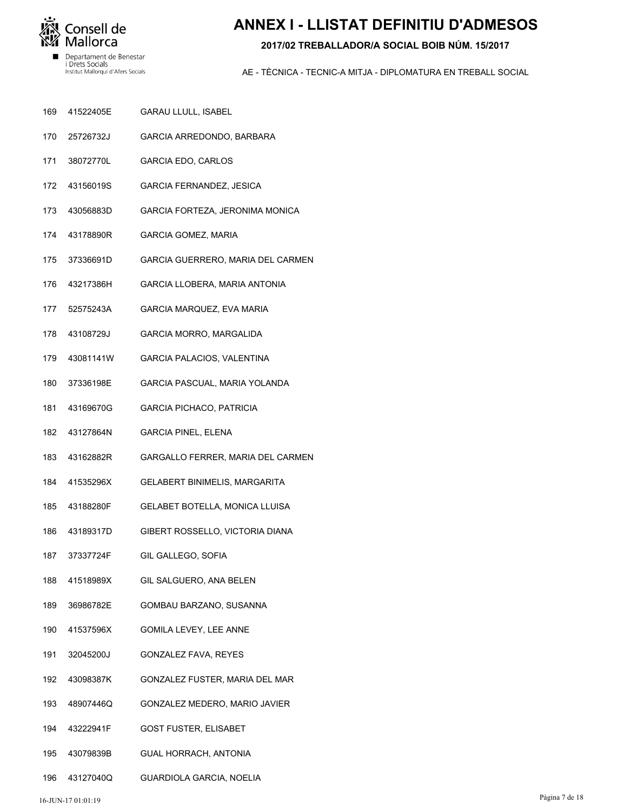

# **ANNEX I - LLISTAT DEFINITIU D'ADMESOS**

#### 2017/02 TREBALLADOR/A SOCIAL BOIB NÚM, 15/2017

- 41522405E 169 GARAU LLULL, ISABEL
- 25726732J GARCIA ARREDONDO, BARBARA 170
- 171 38072770L GARCIA EDO, CARLOS
- 172 43156019S GARCIA FERNANDEZ, JESICA
- 173 43056883D GARCIA FORTEZA, JERONIMA MONICA
- 174 43178890R **GARCIA GOMEZ, MARIA**
- 175 37336691D GARCIA GUERRERO, MARIA DEL CARMEN
- 43217386H 176 GARCIA LLOBERA, MARIA ANTONIA
- 52575243A 177 GARCIA MARQUEZ, EVA MARIA
- 43108729J GARCIA MORRO, MARGALIDA 178
- 179 43081141W GARCIA PALACIOS, VALENTINA
- 180 37336198E GARCIA PASCUAL, MARIA YOLANDA
- 181 43169670G **GARCIA PICHACO, PATRICIA**
- 182 43127864N **GARCIA PINEL, ELENA**
- 183 43162882R GARGALLO FERRER, MARIA DEL CARMEN
- 41535296X GELABERT BINIMELIS, MARGARITA 184
- 43188280F GELABET BOTELLA, MONICA LLUISA 185
- 186 43189317D GIBERT ROSSELLO, VICTORIA DIANA
- 37337724F 187 GIL GALLEGO, SOFIA
- 188 41518989X GIL SALGUERO, ANA BELEN
- 189 36986782E GOMBAU BARZANO, SUSANNA
- 190 41537596X **GOMILA LEVEY, LEE ANNE**
- 32045200J 191 **GONZALEZ FAVA, REYES**
- 192 43098387K GONZALEZ FUSTER, MARIA DEL MAR
- 48907446Q GONZALEZ MEDERO, MARIO JAVIER 193
- 43222941F 194 **GOST FUSTER, ELISABET**
- 195 43079839B **GUAL HORRACH, ANTONIA**
- 196 43127040Q GUARDIOLA GARCIA, NOELIA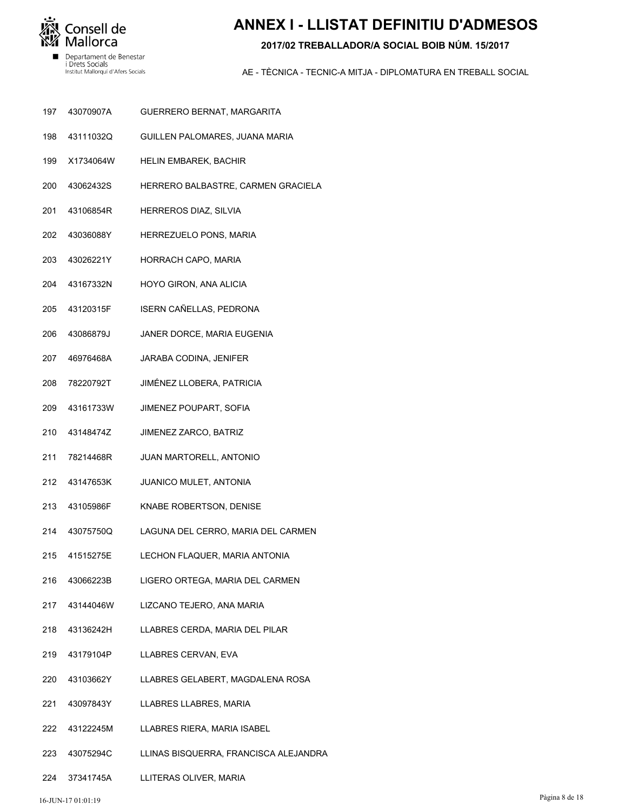

# **ANNEX I - LLISTAT DEFINITIU D'ADMESOS**

#### **2017/02 TREBALLADOR/A SOCIAL BOIB NÚM. 15/2017**

- GUERRERO BERNAT, MARGARITA 43070907A 197
- GUILLEN PALOMARES, JUANA MARIA 43111032Q 198
- HELIN EMBAREK, BACHIR X1734064W 199
- HERRERO BALBASTRE, CARMEN GRACIELA 43062432S 200
- HERREROS DIAZ, SILVIA 43106854R 201
- HERREZUELO PONS, MARIA 43036088Y 202
- HORRACH CAPO, MARIA 43026221Y 203
- HOYO GIRON, ANA ALICIA 43167332N 204
- ISERN CAÑELLAS, PEDRONA 43120315F 205
- JANER DORCE, MARIA EUGENIA 43086879J 206
- JARABA CODINA, JENIFER 46976468A 207
- JIMÉNEZ LLOBERA, PATRICIA 78220792T 208
- JIMENEZ POUPART, SOFIA 43161733W 209
- JIMENEZ ZARCO, BATRIZ 43148474Z 210
- JUAN MARTORELL, ANTONIO 78214468R 211
- JUANICO MULET, ANTONIA 43147653K 212
- KNABE ROBERTSON, DENISE 43105986F 213
- LAGUNA DEL CERRO, MARIA DEL CARMEN 43075750Q 214
- LECHON FLAQUER, MARIA ANTONIA 41515275E 215
- LIGERO ORTEGA, MARIA DEL CARMEN 43066223B 216
- LIZCANO TEJERO, ANA MARIA 43144046W 217
- LLABRES CERDA, MARIA DEL PILAR 43136242H 218
- LLABRES CERVAN, EVA 43179104P 219
- LLABRES GELABERT, MAGDALENA ROSA 43103662Y 220
- LLABRES LLABRES, MARIA 43097843Y 221
- LLABRES RIERA, MARIA ISABEL 43122245M 222
- LLINAS BISQUERRA, FRANCISCA ALEJANDRA 43075294C 223
- LLITERAS OLIVER, MARIA 37341745A 224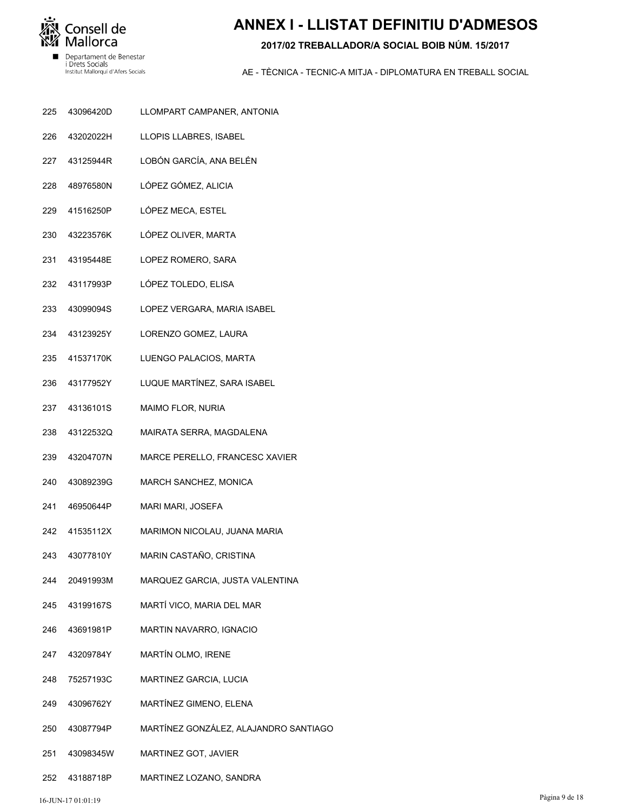

# **ANNEX I - LLISTAT DEFINITIU D'ADMESOS**

#### **2017/02 TREBALLADOR/A SOCIAL BOIB NÚM. 15/2017**

- LLOMPART CAMPANER, ANTONIA 43096420D 225
- LLOPIS LLABRES, ISABEL 43202022H 226
- LOBÓN GARCÍA, ANA BELÉN 43125944R 227
- LÓPEZ GÓMEZ, ALICIA 48976580N 228
- LÓPEZ MECA, ESTEL 41516250P 229
- LÓPEZ OLIVER, MARTA 43223576K 230
- LOPEZ ROMERO, SARA 43195448E 231
- LÓPEZ TOLEDO, ELISA 43117993P 232
- LOPEZ VERGARA, MARIA ISABEL 43099094S 233
- LORENZO GOMEZ, LAURA 43123925Y 234
- LUENGO PALACIOS, MARTA 41537170K 235
- LUQUE MARTÍNEZ, SARA ISABEL 43177952Y 236
- MAIMO FLOR, NURIA 43136101S 237
- MAIRATA SERRA, MAGDALENA 43122532Q 238
- MARCE PERELLO, FRANCESC XAVIER 43204707N 239
- MARCH SANCHEZ, MONICA 43089239G 240
- MARI MARI, JOSEFA 46950644P 241
- MARIMON NICOLAU, JUANA MARIA 41535112X 242
- MARIN CASTAÑO, CRISTINA 43077810Y 243
- MARQUEZ GARCIA, JUSTA VALENTINA 20491993M 244
- MARTÍ VICO, MARIA DEL MAR 43199167S 245
- MARTIN NAVARRO, IGNACIO 43691981P 246
- MARTÍN OLMO, IRENE 43209784Y 247
- MARTINEZ GARCIA, LUCIA 75257193C 248
- MARTÍNEZ GIMENO, ELENA 43096762Y 249
- MARTÍNEZ GONZÁLEZ, ALAJANDRO SANTIAGO 43087794P 250
- MARTINEZ GOT, JAVIER 43098345W 251
- MARTINEZ LOZANO, SANDRA 43188718P 252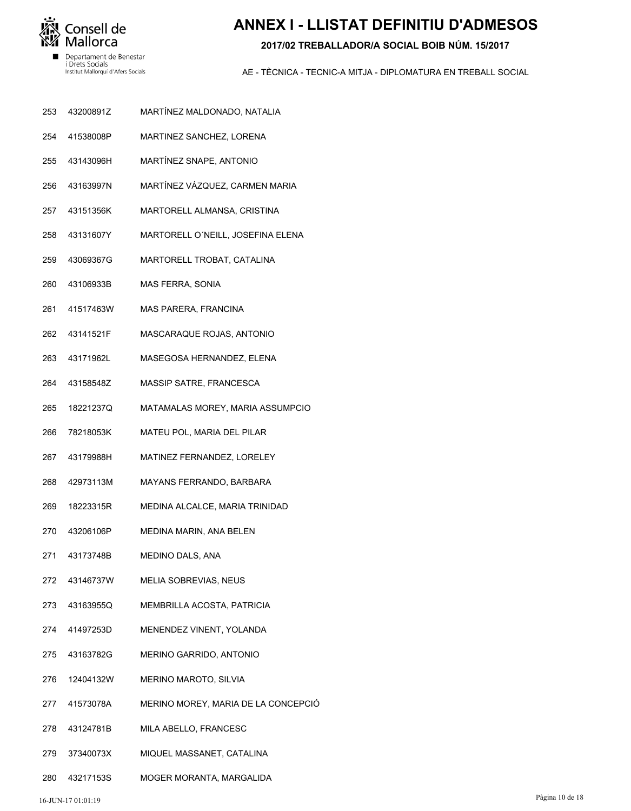

## **ANNEX I - LLISTAT DEFINITIU D'ADMESOS**

#### 2017/02 TREBALLADOR/A SOCIAL BOIB NÚM, 15/2017

- MARTÍNEZ MALDONADO, NATALIA 253 43200891Z
- 41538008P MARTINEZ SANCHEZ, LORENA 254
- 255 43143096H MARTÍNEZ SNAPE, ANTONIO
- 256 43163997N MARTÍNEZ VÁZQUEZ, CARMEN MARIA
- 257 43151356K MARTORELL ALMANSA, CRISTINA
- 43131607Y 258 MARTORELL O'NEILL, JOSEFINA ELENA
- 259 43069367G MARTORELL TROBAT, CATALINA
- 43106933B 260 MAS FERRA, SONIA
- 41517463W 261 MAS PARERA, FRANCINA
- 262 43141521F MASCARAQUE ROJAS, ANTONIO
- 263 43171962L MASEGOSA HERNANDEZ, ELENA
- 264 43158548Z MASSIP SATRE, FRANCESCA
- 265 18221237Q MATAMALAS MOREY, MARIA ASSUMPCIO
- 266 78218053K MATEU POL, MARIA DEL PILAR
- 267 43179988H MATINEZ FERNANDEZ, LORELEY
- 42973113M MAYANS FERRANDO, BARBARA 268
- 18223315R MEDINA ALCALCE, MARIA TRINIDAD 269
- 270 43206106P MEDINA MARIN, ANA BELEN
- 271 43173748B MEDINO DALS, ANA
- 272 43146737W MELIA SOBREVIAS, NEUS
- 273 43163955Q MEMBRILLA ACOSTA, PATRICIA
- 274 41497253D MENENDEZ VINENT, YOLANDA
- 43163782G 275 MERINO GARRIDO, ANTONIO
- 276 12404132W MERINO MAROTO, SILVIA
- 41573078A MERINO MOREY, MARIA DE LA CONCEPCIÓ 277
- 278 43124781B MILA ABELLO, FRANCESC
- 279 37340073X MIQUEL MASSANET, CATALINA
- 280 43217153S MOGER MORANTA, MARGALIDA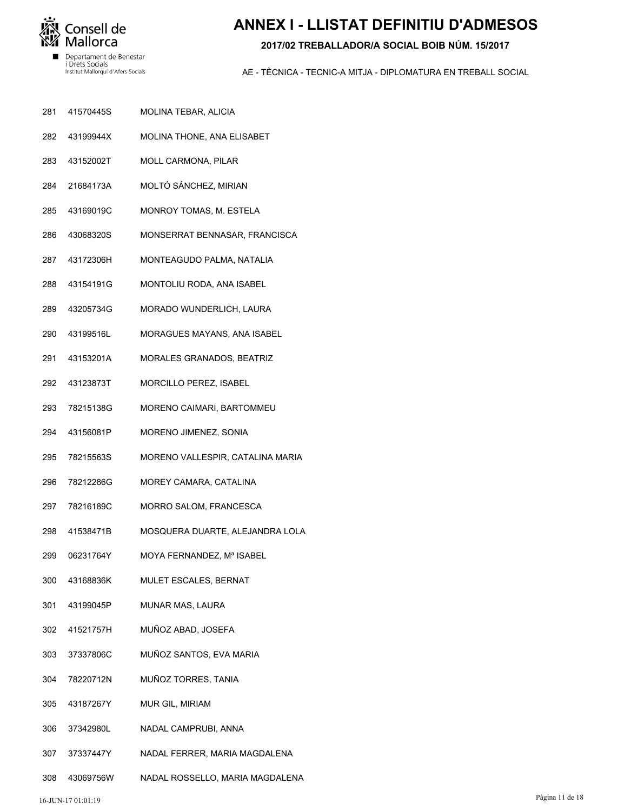

## **ANNEX I - LLISTAT DEFINITIU D'ADMESOS**

#### **2017/02 TREBALLADOR/A SOCIAL BOIB NÚM. 15/2017**

- MOLINA TEBAR, ALICIA 41570445S 281
- MOLINA THONE, ANA ELISABET 43199944X 282
- MOLL CARMONA, PILAR 43152002T 283
- MOLTÓ SÁNCHEZ, MIRIAN 21684173A 284
- MONROY TOMAS, M. ESTELA 43169019C 285
- MONSERRAT BENNASAR, FRANCISCA 43068320S 286
- MONTEAGUDO PALMA, NATALIA 43172306H 287
- MONTOLIU RODA, ANA ISABEL 43154191G 288
- MORADO WUNDERLICH, LAURA 43205734G 289
- MORAGUES MAYANS, ANA ISABEL 43199516L 290
- MORALES GRANADOS, BEATRIZ 43153201A 291
- MORCILLO PEREZ, ISABEL 43123873T 292
- MORENO CAIMARI, BARTOMMEU 78215138G 293
- MORENO JIMENEZ, SONIA 43156081P 294
- MORENO VALLESPIR, CATALINA MARIA 78215563S 295
- MOREY CAMARA, CATALINA 78212286G 296
- MORRO SALOM, FRANCESCA 78216189C 297
- MOSQUERA DUARTE, ALEJANDRA LOLA 41538471B 298
- MOYA FERNANDEZ, Mª ISABEL 06231764Y 299
- MULET ESCALES, BERNAT 43168836K 300
- MUNAR MAS, LAURA 43199045P 301
- MUÑOZ ABAD, JOSEFA 41521757H 302
- MUÑOZ SANTOS, EVA MARIA 37337806C 303
- MUÑOZ TORRES, TANIA 78220712N 304
- MUR GIL, MIRIAM 43187267Y 305
- NADAL CAMPRUBI, ANNA 37342980L 306
- NADAL FERRER, MARIA MAGDALENA 37337447Y 307
- NADAL ROSSELLO, MARIA MAGDALENA 43069756W 308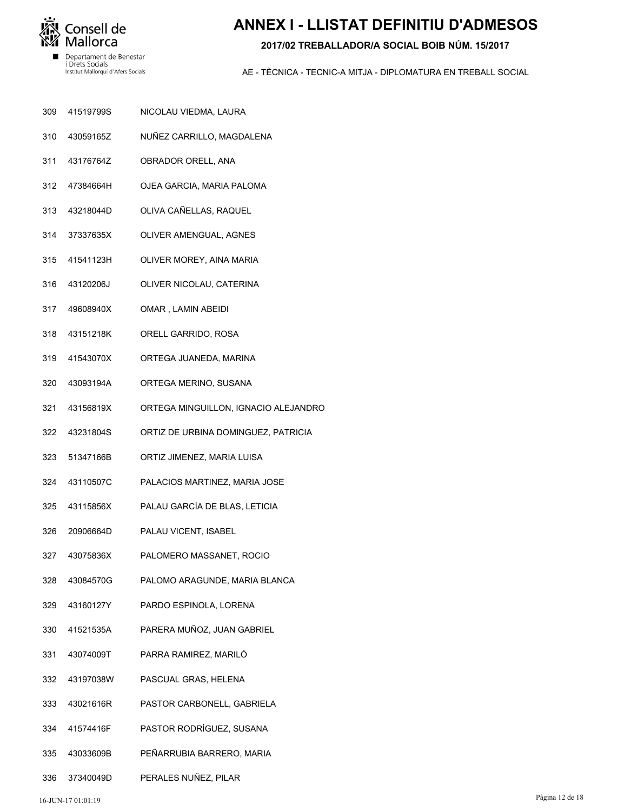

# **ANNEX I - LLISTAT DEFINITIU D'ADMESOS**

#### **2017/02 TREBALLADOR/A SOCIAL BOIB NÚM. 15/2017**

- NICOLAU VIEDMA, LAURA 41519799S 309
- NUÑEZ CARRILLO, MAGDALENA 43059165Z 310
- OBRADOR ORELL, ANA 43176764Z 311
- OJEA GARCIA, MARIA PALOMA 47384664H 312
- OLIVA CAÑELLAS, RAQUEL 43218044D 313
- OLIVER AMENGUAL, AGNES 37337635X 314
- OLIVER MOREY, AINA MARIA 41541123H 315
- OLIVER NICOLAU, CATERINA 43120206J 316
- OMAR , LAMIN ABEIDI 49608940X 317
- ORELL GARRIDO, ROSA 43151218K 318
- ORTEGA JUANEDA, MARINA 41543070X 319
- ORTEGA MERINO, SUSANA 43093194A 320
- ORTEGA MINGUILLON, IGNACIO ALEJANDRO 43156819X 321
- ORTIZ DE URBINA DOMINGUEZ, PATRICIA 43231804S 322
- ORTIZ JIMENEZ, MARIA LUISA 51347166B 323
- PALACIOS MARTINEZ, MARIA JOSE 43110507C 324
- PALAU GARCÍA DE BLAS, LETICIA 43115856X 325
- PALAU VICENT, ISABEL 20906664D 326
- PALOMERO MASSANET, ROCIO 43075836X 327
- PALOMO ARAGUNDE, MARIA BLANCA 43084570G 328
- PARDO ESPINOLA, LORENA 43160127Y 329
- PARERA MUÑOZ, JUAN GABRIEL 41521535A 330
- PARRA RAMIREZ, MARILÓ 43074009T 331
- PASCUAL GRAS, HELENA 43197038W 332
- PASTOR CARBONELL, GABRIELA 43021616R 333
- PASTOR RODRÍGUEZ, SUSANA 41574416F 334
- PEÑARRUBIA BARRERO, MARIA 43033609B 335
- PERALES NUÑEZ, PILAR 37340049D 336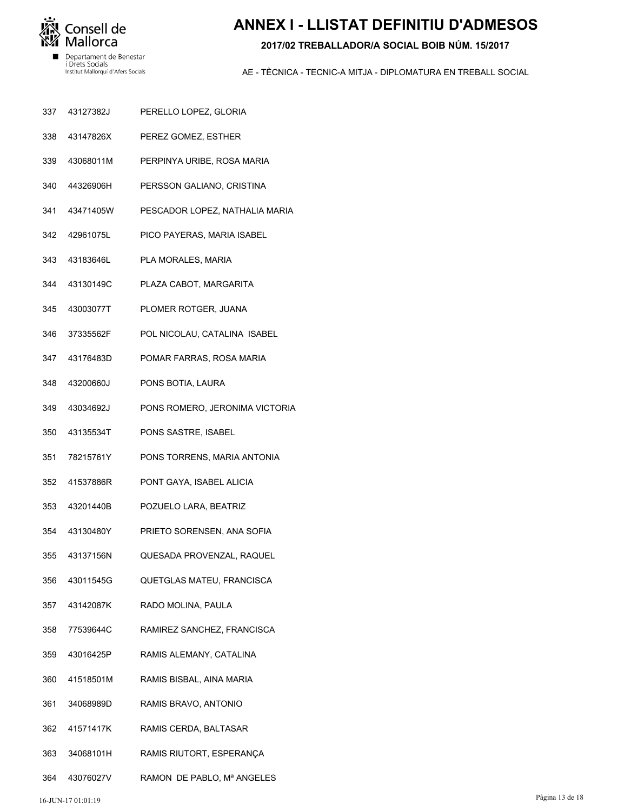

## **ANNEX I - LLISTAT DEFINITIU D'ADMESOS**

#### 2017/02 TREBALLADOR/A SOCIAL BOIB NÚM, 15/2017

- 43127382J 337 PERELLO LOPEZ, GLORIA
- 43147826X PEREZ GOMEZ, ESTHER 338
- 339 43068011M PERPINYA URIBE, ROSA MARIA
- 340 44326906H PERSSON GALIANO, CRISTINA
- 341 43471405W PESCADOR LOPEZ, NATHALIA MARIA
- 42961075L 342 PICO PAYERAS, MARIA ISABEL
- 343 43183646L PLA MORALES, MARIA
- 43130149C 344 PLAZA CABOT, MARGARITA
- 43003077T 345 PLOMER ROTGER, JUANA
- 37335562F POL NICOLAU, CATALINA ISABEL 346
- 347 43176483D POMAR FARRAS, ROSA MARIA
- 348 43200660J PONS BOTIA, LAURA
- 349 43034692J PONS ROMERO, JERONIMA VICTORIA
- 350 43135534T PONS SASTRE, ISABEL
- 351 78215761Y PONS TORRENS, MARIA ANTONIA
- 41537886R 352 PONT GAYA, ISABEL ALICIA
- 43201440B POZUELO LARA, BEATRIZ 353
- 43130480Y 354 PRIETO SORENSEN, ANA SOFIA
- 43137156N 355 QUESADA PROVENZAL, RAQUEL
- 356 43011545G QUETGLAS MATEU, FRANCISCA
- 357 43142087K RADO MOLINA, PAULA
- 358 77539644C RAMIREZ SANCHEZ, FRANCISCA
- 43016425P 359 RAMIS ALEMANY, CATALINA
- 41518501M RAMIS BISBAL, AINA MARIA 360
- 34068989D RAMIS BRAVO, ANTONIO 361
- 41571417K 362 RAMIS CERDA, BALTASAR
- 363 34068101H RAMIS RIUTORT, ESPERANÇA
- RAMON DE PABLO, Mª ANGELES 364 43076027V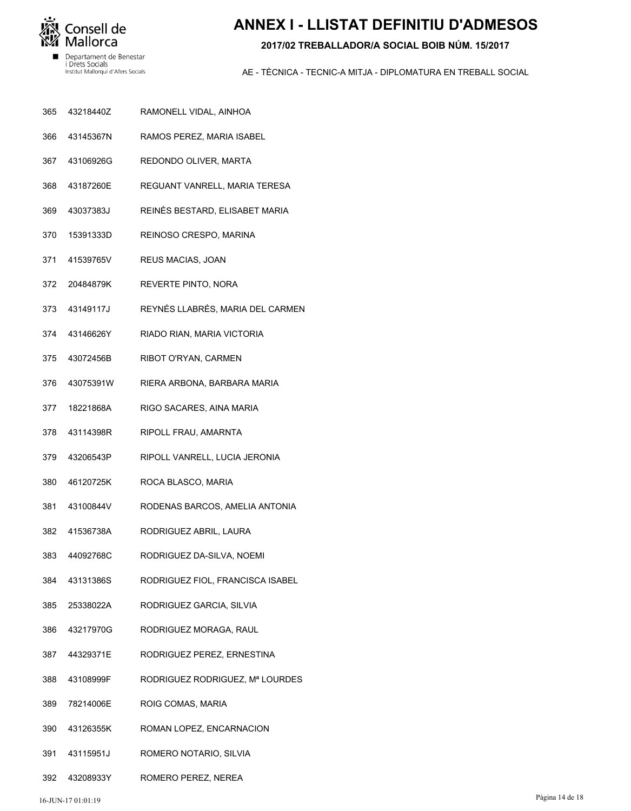

## **ANNEX I - LLISTAT DEFINITIU D'ADMESOS**

#### 2017/02 TREBALLADOR/A SOCIAL BOIB NÚM, 15/2017

- 365 43218440Z RAMONELL VIDAL, AINHOA
- 43145367N RAMOS PEREZ, MARIA ISABEL 366
- 367 43106926G REDONDO OLIVER, MARTA
- 368 43187260E REGUANT VANRELL, MARIA TERESA
- 369 43037383J REINÉS BESTARD, ELISABET MARIA
- REINOSO CRESPO, MARINA 370 15391333D
- 371 41539765V REUS MACIAS, JOAN
- 20484879K REVERTE PINTO, NORA 372
- 373 43149117J REYNÉS LLABRÉS, MARIA DEL CARMEN
- 374 43146626Y RIADO RIAN, MARIA VICTORIA
- 375 43072456B RIBOT O'RYAN, CARMEN
- 376 43075391W RIERA ARBONA, BARBARA MARIA
- 377 18221868A RIGO SACARES, AINA MARIA
- 378 43114398R RIPOLL FRAU, AMARNTA
- 379 43206543P RIPOLL VANRELL, LUCIA JERONIA
- 380 46120725K ROCA BLASCO, MARIA
- 43100844V RODENAS BARCOS, AMELIA ANTONIA 381
- 382 41536738A RODRIGUEZ ABRIL, LAURA
- 44092768C 383 RODRIGUEZ DA-SILVA, NOEMI
- 384 43131386S RODRIGUEZ FIOL, FRANCISCA ISABEL
- 385 25338022A RODRIGUEZ GARCIA, SILVIA
- 386 43217970G RODRIGUEZ MORAGA, RAUL
- 44329371E 387 RODRIGUEZ PEREZ, ERNESTINA
- 388 43108999F RODRIGUEZ RODRIGUEZ, Mª LOURDES
- 78214006E 389 ROIG COMAS, MARIA
- 43126355K ROMAN LOPEZ, ENCARNACION 390
- 391 43115951J ROMERO NOTARIO, SILVIA
- 392 43208933Y ROMERO PEREZ, NEREA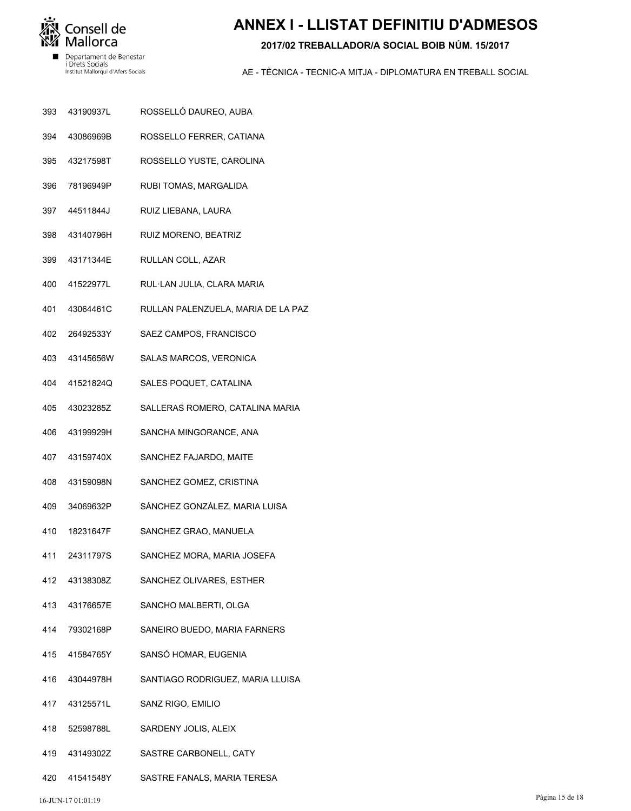

# **ANNEX I - LLISTAT DEFINITIU D'ADMESOS**

#### **2017/02 TREBALLADOR/A SOCIAL BOIB NÚM. 15/2017**

- ROSSELLÓ DAUREO, AUBA 43190937L 393
- ROSSELLO FERRER, CATIANA 43086969B 394
- ROSSELLO YUSTE, CAROLINA 43217598T 395
- RUBI TOMAS, MARGALIDA 78196949P 396
- RUIZ LIEBANA, LAURA 44511844J 397
- RUIZ MORENO, BEATRIZ 43140796H 398
- RULLAN COLL, AZAR 43171344E 399
- RUL·LAN JULIA, CLARA MARIA 41522977L 400
- RULLAN PALENZUELA, MARIA DE LA PAZ 43064461C 401
- SAEZ CAMPOS, FRANCISCO 26492533Y 402
- SALAS MARCOS, VERONICA 43145656W 403
- SALES POQUET, CATALINA 41521824Q 404
- SALLERAS ROMERO, CATALINA MARIA 43023285Z 405
- SANCHA MINGORANCE, ANA 43199929H 406
- SANCHEZ FAJARDO, MAITE 43159740X 407
- SANCHEZ GOMEZ, CRISTINA 43159098N 408
- SÁNCHEZ GONZÁLEZ, MARIA LUISA 34069632P 409
- SANCHEZ GRAO, MANUELA 18231647F 410
- SANCHEZ MORA, MARIA JOSEFA 24311797S 411
- SANCHEZ OLIVARES, ESTHER 43138308Z 412
- SANCHO MALBERTI, OLGA 43176657E 413
- SANEIRO BUEDO, MARIA FARNERS 79302168P 414
- SANSÓ HOMAR, EUGENIA 41584765Y 415
- SANTIAGO RODRIGUEZ, MARIA LLUISA 43044978H 416
- SANZ RIGO, EMILIO 43125571L 417
- SARDENY JOLIS, ALEIX 52598788L 418
- SASTRE CARBONELL, CATY 43149302Z 419
- SASTRE FANALS, MARIA TERESA 41541548Y 420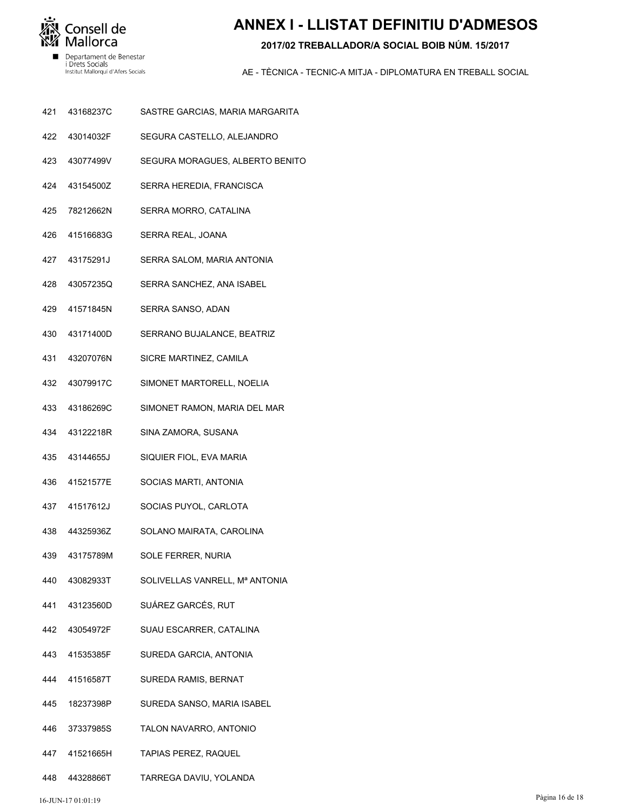

i Drets Socials<br>Institut Mallorquí d'Afers Socials

# **ANNEX I - LLISTAT DEFINITIU D'ADMESOS**

#### 2017/02 TREBALLADOR/A SOCIAL BOIB NÚM, 15/2017

- 421 43168237C SASTRE GARCIAS, MARIA MARGARITA
- 422 43014032F SEGURA CASTELLO, ALEJANDRO
- 423 43077499V SEGURA MORAGUES, ALBERTO BENITO
- 424 43154500Z SERRA HEREDIA, FRANCISCA
- 425 78212662N SERRA MORRO, CATALINA
- 41516683G 426 SERRA REAL, JOANA
- 427 43175291J SERRA SALOM, MARIA ANTONIA
- 43057235Q SERRA SANCHEZ, ANA ISABEL 428
- 41571845N 429 SERRA SANSO, ADAN
- 430 43171400D SERRANO BUJALANCE, BEATRIZ
- 431 43207076N SICRE MARTINEZ, CAMILA
- 432 43079917C SIMONET MARTORELL, NOELIA
- 433 43186269C SIMONET RAMON, MARIA DEL MAR
- 434 43122218R SINA ZAMORA, SUSANA
- 435 43144655J SIQUIER FIOL, EVA MARIA
- 41521577E 436 SOCIAS MARTI, ANTONIA
- 41517612J SOCIAS PUYOL, CARLOTA 437
- 438 44325936Z SOLANO MAIRATA, CAROLINA
- 43175789M 439 **SOLE FERRER, NURIA**
- 440 43082933T SOLIVELLAS VANRELL, Mª ANTONIA
- 441 43123560D SUÁREZ GARCÉS, RUT
- 442 43054972F SUAU ESCARRER, CATALINA
- 41535385F 443 SUREDA GARCIA, ANTONIA
- 444 41516587T SUREDA RAMIS, BERNAT
- 18237398P SUREDA SANSO, MARIA ISABEL 445
- 37337985S 446 TALON NAVARRO, ANTONIO
- 447 41521665H **TAPIAS PEREZ, RAQUEL**
- 448 44328866T TARREGA DAVIU, YOLANDA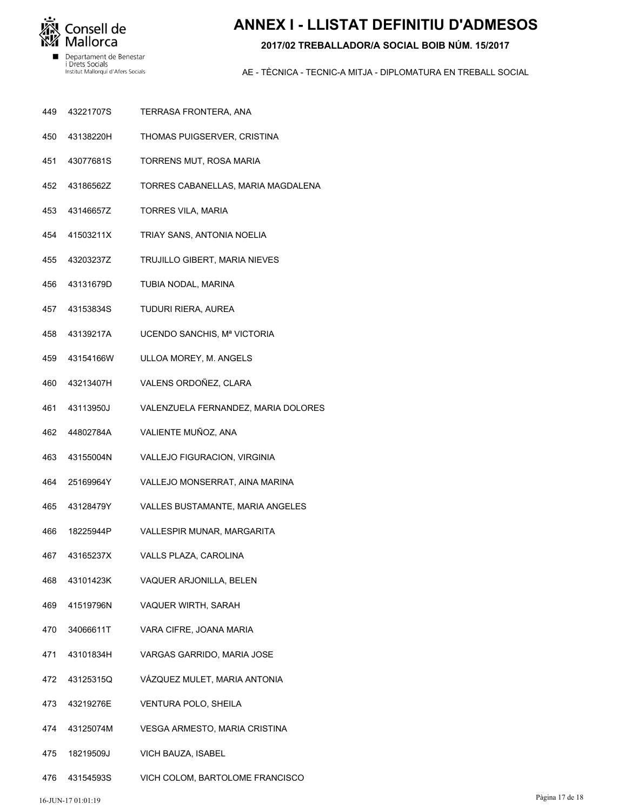

# **ANNEX I - LLISTAT DEFINITIU D'ADMESOS**

#### **2017/02 TREBALLADOR/A SOCIAL BOIB NÚM. 15/2017**

- TERRASA FRONTERA, ANA 43221707S 449
- THOMAS PUIGSERVER, CRISTINA 43138220H 450
- TORRENS MUT, ROSA MARIA 43077681S 451
- TORRES CABANELLAS, MARIA MAGDALENA 43186562Z 452
- TORRES VILA, MARIA 43146657Z 453
- TRIAY SANS, ANTONIA NOELIA 41503211X 454
- TRUJILLO GIBERT, MARIA NIEVES 43203237Z 455
- TUBIA NODAL, MARINA 43131679D 456
- TUDURI RIERA, AUREA 43153834S 457
- UCENDO SANCHIS, Mª VICTORIA 43139217A 458
- ULLOA MOREY, M. ANGELS 43154166W 459
- VALENS ORDOÑEZ, CLARA 43213407H 460
- VALENZUELA FERNANDEZ, MARIA DOLORES 43113950J 461
- VALIENTE MUÑOZ, ANA 44802784A 462
- VALLEJO FIGURACION, VIRGINIA 43155004N 463
- VALLEJO MONSERRAT, AINA MARINA 25169964Y 464
- VALLES BUSTAMANTE, MARIA ANGELES 43128479Y 465
- VALLESPIR MUNAR, MARGARITA 18225944P 466
- VALLS PLAZA, CAROLINA 43165237X 467
- VAQUER ARJONILLA, BELEN 43101423K 468
- VAQUER WIRTH, SARAH 41519796N 469
- VARA CIFRE, JOANA MARIA 34066611T 470
- VARGAS GARRIDO, MARIA JOSE 43101834H 471
- VÁZQUEZ MULET, MARIA ANTONIA 43125315Q 472
- VENTURA POLO, SHEILA 43219276E 473
- VESGA ARMESTO, MARIA CRISTINA 43125074M 474
- VICH BAUZA, ISABEL 18219509J 475
- VICH COLOM, BARTOLOME FRANCISCO 43154593S 476